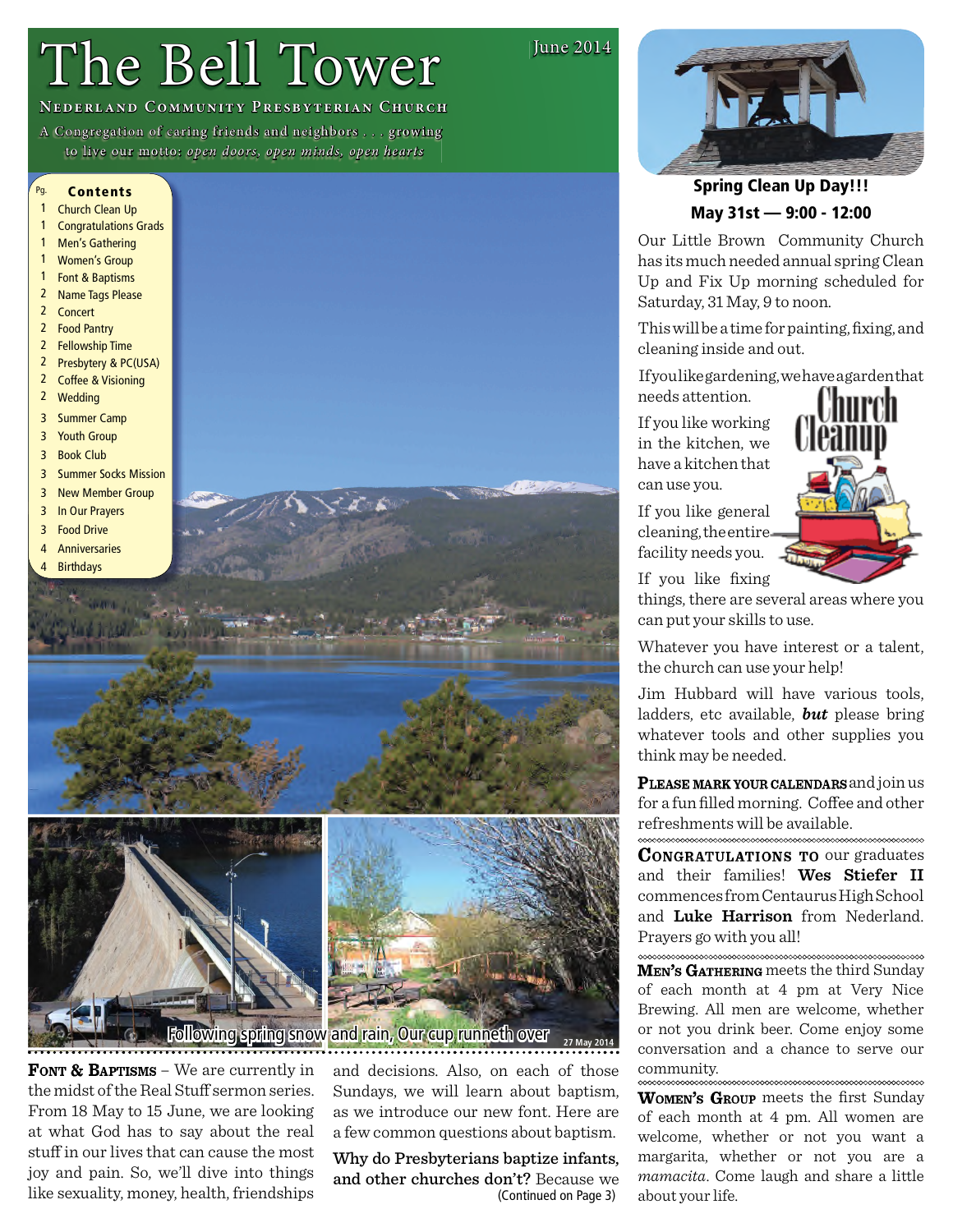# The Bell Tower

**June 2014** 

## **NEDERLAND COMMUNITY PRESBYTERIAN CHURCH**

A Congregation of caring friends and neighbors ... growing to live our motto: open doors, open minds, open hearts

#### Pg. **Contents**

- $\overline{1}$ **Church Clean Up**
- $\overline{1}$ **Congratulations Grads**
- $\mathbf{1}$ Men's Gathering
- $\mathbf{1}$ **Women's Group**
- $1$ Font & Baptisms
- 2 Name Tags Please
- $2^{\circ}$ Concert
- $\overline{2}$ **Food Pantry**  $\overline{2}$
- **Fellowship Time**  $2^{\circ}$
- Presbytery & PC(USA)  $\overline{2}$ **Coffee & Visioning**
- 



**FONT & BAPTISMS** – We are currently in the midst of the Real Stuff sermon series. From 18 May to 15 June, we are looking at what God has to say about the real stuff in our lives that can cause the most joy and pain. So, we'll dive into things like sexuality, money, health, friendships

and decisions. Also, on each of those Sundays, we will learn about baptism, as we introduce our new font. Here are a few common questions about baptism.

Why do Presbyterians baptize infants, and other churches don't? Because we (Continued on Page 3)



## **Spring Clean Up Day!!!** May 31st - 9:00 - 12:00

Our Little Brown Community Church has its much needed annual spring Clean Up and Fix Up morning scheduled for Saturday, 31 May, 9 to noon.

This will be a time for painting, fixing, and cleaning inside and out.

Ifyoulikegardening, we have agarden that needs attention.

If you like working in the kitchen, we have a kitchen that can use you.

If you like general cleaning, the entire facility needs you.



If you like fixing

things, there are several areas where you can put your skills to use.

Whatever you have interest or a talent, the church can use your help!

Jim Hubbard will have various tools, ladders, etc available, **but** please bring whatever tools and other supplies you think may be needed.

PLEASE MARK YOUR CALENDARS and join us for a fun filled morning. Coffee and other refreshments will be available. 

**CONGRATULATIONS TO OUT graduates** and their families! Wes Stiefer II commences from Centaurus High School and Luke Harrison from Nederland. Pravers go with you all!

MEN's GATHERING meets the third Sunday of each month at 4 pm at Very Nice Brewing. All men are welcome, whether or not you drink beer. Come enjoy some conversation and a chance to serve our community. 

WOMEN's GROUP meets the first Sunday of each month at 4 pm. All women are welcome, whether or not you want a margarita, whether or not you are a *mamacita*. Come laugh and share a little about your life.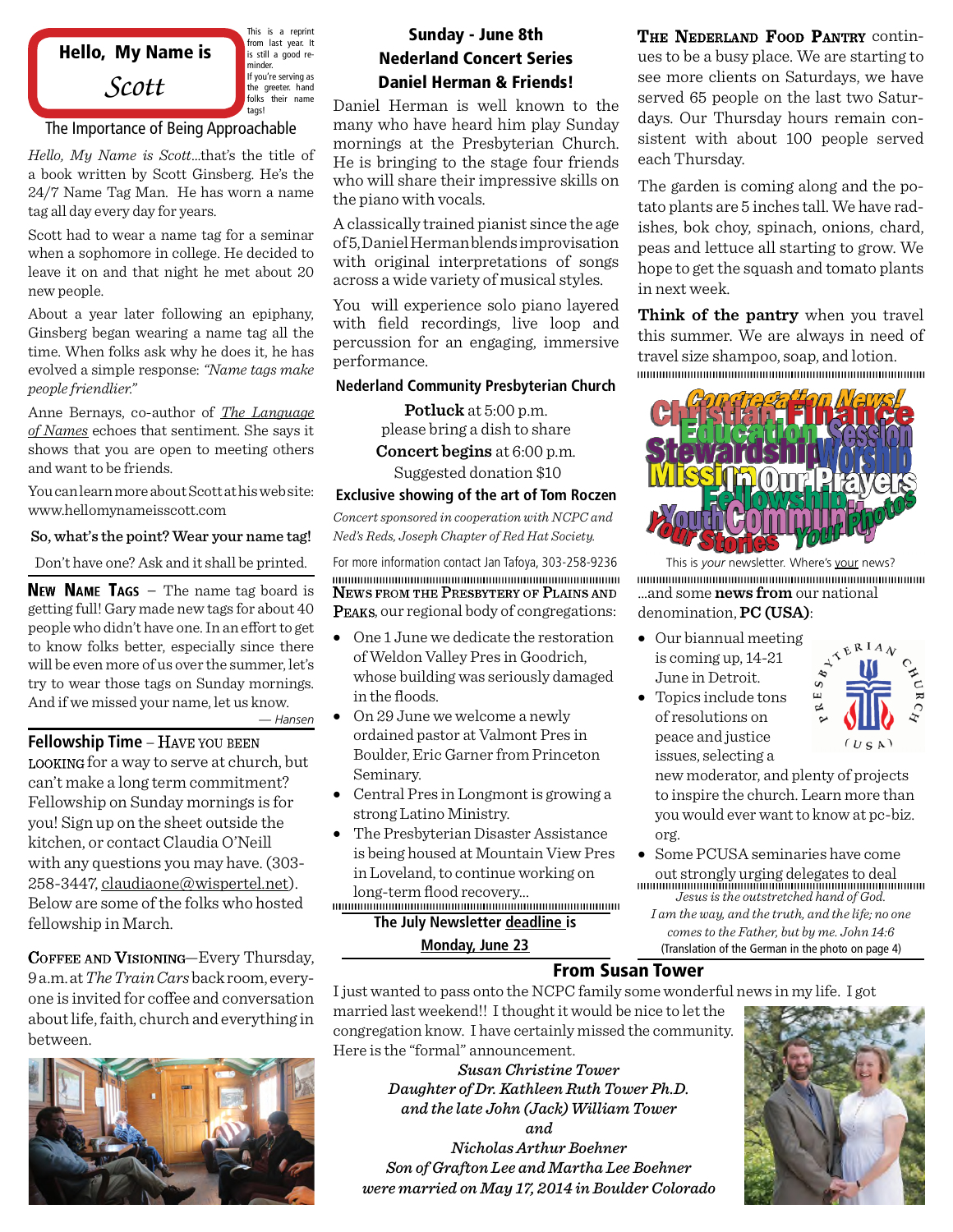

This is a reprint from last year. It is still a good reminder. If you're serving as the greeter. hand folks their name tags!

## The Importance of Being Approachable

*Hello, My Name is Scott*…that's the title of a book written by Scott Ginsberg. He's the 24/7 Name Tag Man. He has worn a name tag all day every day for years.

Scott had to wear a name tag for a seminar when a sophomore in college. He decided to leave it on and that night he met about 20 new people.

About a year later following an epiphany, Ginsberg began wearing a name tag all the time. When folks ask why he does it, he has evolved a simple response: *"Name tags make people friendlier."*

Anne Bernays, co-author of *The Language of Names* echoes that sentiment. She says it shows that you are open to meeting others and want to be friends.

You canlearn more about Scott athis website: www.hellomynameisscott.com

#### So, what's the point? Wear your name tag!

Don't have one? Ask and it shall be printed.

**NEW NAME TAGS** – The name tag board is getting full! Gary made new tags for about 40 people who didn't have one. In an effort to get to know folks better, especially since there will be even more of us over the summer, let's try to wear those tags on Sunday mornings. And if we missed your name, let us know.

*— Hansen*

**Fellowship Time** – HAVE YOU BEEN LOOKING for a way to serve at church, but can't make a long term commitment? Fellowship on Sunday mornings is for you! Sign up on the sheet outside the kitchen, or contact Claudia O'Neill with any questions you may have. (303- 258-3447, claudiaone@wispertel.net). Below are some of the folks who hosted fellowship in March. **The July Newsletter deadline is**

COFFEE AND VISIONING-Every Thursday, 9 a.m.at*The Train Cars*back room, every one is invited for coffee and conversation about life, faith, church and everything in between.



## Sunday - June 8th Nederland Concert Series Daniel Herman & Friends!

Daniel Herman is well known to the many who have heard him play Sunday mornings at the Presbyterian Church. He is bringing to the stage four friends who will share their impressive skills on the piano with vocals.

A classically trained pianist since the age of5,DanielHermanblends improvisation with original interpretations of songs across a wide variety of musical styles.

You will experience solo piano layered with field recordings, live loop and percussion for an engaging, immersive performance.

### **Nederland Community Presbyterian Church**

**Potluck** at 5:00 p.m. please bring a dish to share **Concert begins** at 6:00 p.m.

Suggested donation \$10

#### **Exclusive showing of the art of Tom Roczen**

*Concert sponsored in cooperation with NCPC and Ned's Reds, Joseph Chapter of Red Hat Society.*

For more information contact Jan Tafoya, 303-258-9236 NEWS FROM THE PRESBYTERY OF PLAINS AND **PEAKS, our regional body of congregations:** 

- · One 1 June we dedicate the restoration of Weldon Valley Pres in Goodrich, whose building was seriously damaged in the floods.
- · On 29 June we welcome a newly ordained pastor at Valmont Pres in Boulder, Eric Garner from Princeton Seminary.
- · Central Pres in Longmont is growing a strong Latino Ministry.
- · The Presbyterian Disaster Assistance is being housed at Mountain View Pres in Loveland, to continue working on &)(!Ě.,' ó)) ,)0,3ĄĄĄ

**Monday, June 23**

THE NEDERLAND FOOD PANTRY continues to be a busy place. We are starting to see more clients on Saturdays, we have served 65 people on the last two Saturdays. Our Thursday hours remain consistent with about 100 people served each Thursday.

The garden is coming along and the potato plants are 5 inches tall. We have radishes, bok choy, spinach, onions, chard, peas and lettuce all starting to grow. We hope to get the squash and tomato plants in next week.

**Think of the pantry** when you travel this summer. We are always in need of travel size shampoo, soap, and lotion.



This is *your* newsletter. Where's your news? ...and some **news from** our national denomination, **PC (USA)**:

- · Our biannual meeting is coming up, 14-21 June in Detroit.
- · Topics include tons of resolutions on peace and justice issues, selecting a



new moderator, and plenty of projects to inspire the church. Learn more than you would ever want to know at pc-biz. org.

- *Jesus is the outstretched hand of God.* · Some PCUSA seminaries have come out strongly urging delegates to deal
	- *I am the way, and the truth, and the life; no one comes to the Father, but by me. John 14:6* (Translation of the German in the photo on page 4)

## From Susan Tower

I just wanted to pass onto the NCPC family some wonderful news in my life. I got

married last weekend!! I thought it would be nice to let the congregation know. I have certainly missed the community. Here is the "formal" announcement.

> *Susan Christine Tower Daughter of Dr. Kathleen Ruth Tower Ph.D. and the late John (Jack) William Tower and*

*Nicholas Arthur Boehner Son of Grafton Lee and Martha Lee Boehner were married on May 17, 2014 in Boulder Colorado*

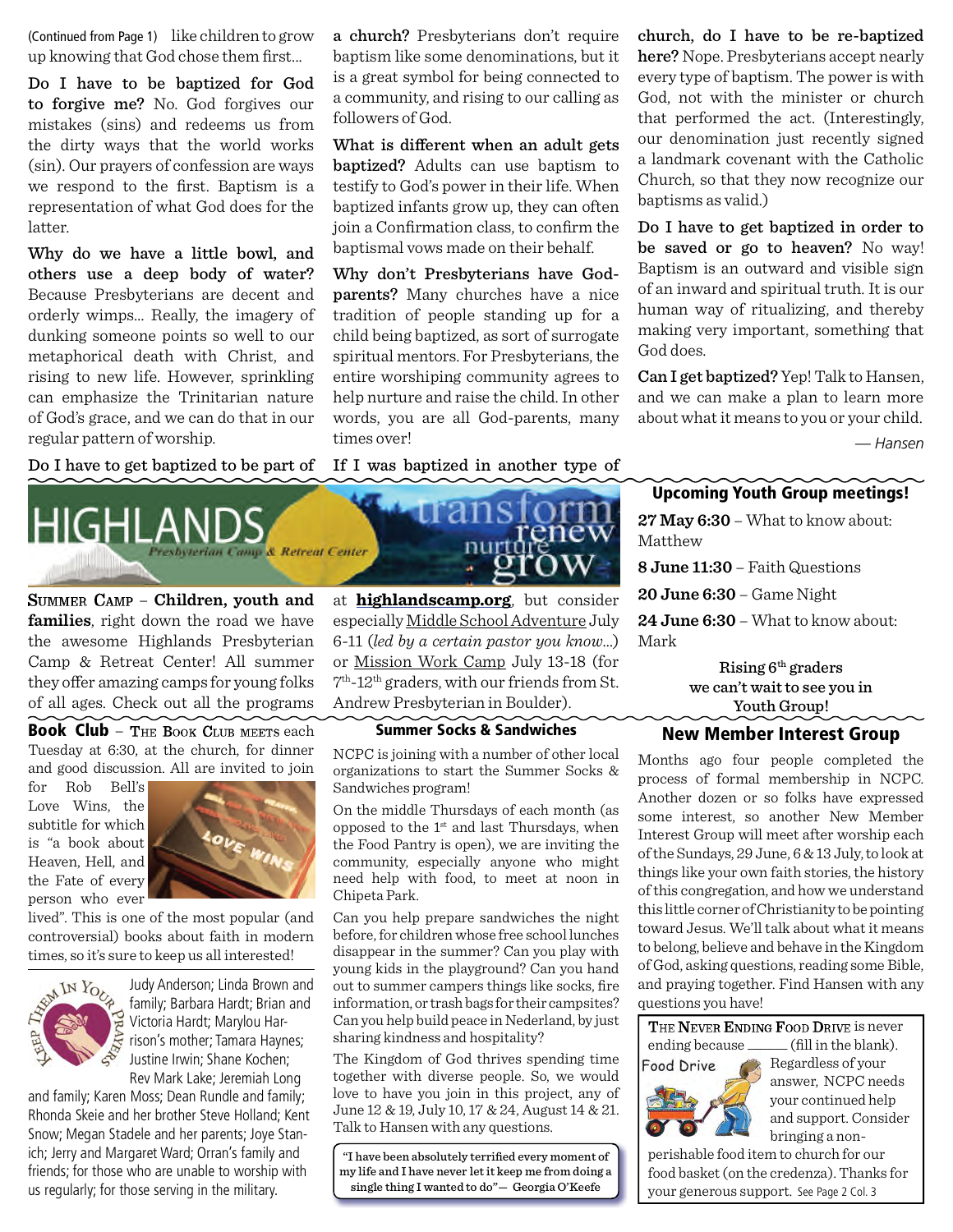up knowing that God chose them first...

Do I have to be baptized for God to forgive me? No. God forgives our mistakes (sins) and redeems us from the dirty ways that the world works (sin). Our prayers of confession are ways we respond to the first. Baptism is a representation of what God does for the latter.

Why do we have a little bowl, and others use a deep body of water? Because Presbyterians are decent and orderly wimps… Really, the imagery of dunking someone points so well to our metaphorical death with Christ, and rising to new life. However, sprinkling can emphasize the Trinitarian nature of God's grace, and we can do that in our regular pattern of worship.

Do I have to get baptized to be part of



SUMMER CAMP - Children, youth and **families**, right down the road we have the awesome Highlands Presbyterian Camp & Retreat Center! All summer they offer amazing camps for young folks of all ages. Check out all the programs

Book Club - The Book Club meets each Tuesday at 6:30, at the church, for dinner and good discussion. All are invited to join

for Rob Bell's Love Wins, the subtitle for which is "a book about Heaven, Hell, and the Fate of every person who ever



lived". This is one of the most popular (and controversial) books about faith in modern times, so it's sure to keep us all interested!



Judy Anderson; Linda Brown and family; Barbara Hardt; Brian and Victoria Hardt; Marylou Harrison's mother; Tamara Haynes; Justine Irwin; Shane Kochen; Rev Mark Lake; Jeremiah Long

and family; Karen Moss; Dean Rundle and family; Rhonda Skeie and her brother Steve Holland; Kent Snow; Megan Stadele and her parents; Joye Stanich; Jerry and Margaret Ward; Orran's family and friends; for those who are unable to worship with us regularly; for those serving in the military.

(Continued from Page 1) like children to grow a church? Presbyterians don't require baptism like some denominations, but it is a great symbol for being connected to a community, and rising to our calling as followers of God.

> What is different when an adult gets baptized? Adults can use baptism to testify to God's power in their life. When baptized infants grow up, they can often join a Confirmation class, to confirm the baptismal vows made on their behalf.

> Why don't Presbyterians have Godparents? Many churches have a nice tradition of people standing up for a child being baptized, as sort of surrogate spiritual mentors. For Presbyterians, the entire worshiping community agrees to help nurture and raise the child. In other words, you are all God-parents, many times over!

> If I was baptized in another type of



at **highlandscamp.org**, but consider especially Middle School Adventure July 6-11 (*led by a certain pastor you know*…) or Mission Work Camp July 13-18 (for 7 th-12th graders, with our friends from St. Andrew Presbyterian in Boulder).

#### Summer Socks & Sandwiches

NCPC is joining with a number of other local organizations to start the Summer Socks & Sandwiches program!

On the middle Thursdays of each month (as opposed to the 1st and last Thursdays, when the Food Pantry is open), we are inviting the community, especially anyone who might need help with food, to meet at noon in Chipeta Park.

Can you help prepare sandwiches the night before, for children whose free school lunches disappear in the summer? Can you play with young kids in the playground? Can you hand out to summer campers things like socks, fire information, or trash bags for their campsites? Can you help build peace in Nederland, by just sharing kindness and hospitality?

The Kingdom of God thrives spending time together with diverse people. So, we would love to have you join in this project, any of June 12 & 19, July 10, 17 & 24, August 14 & 21. Talk to Hansen with any questions.

"I have been absolutely terrified every moment of my life and I have never let it keep me from doing a single thing I wanted to do"— Georgia O'Keefe

church, do I have to be re-baptized here? Nope. Presbyterians accept nearly every type of baptism. The power is with God, not with the minister or church that performed the act. (Interestingly, our denomination just recently signed a landmark covenant with the Catholic Church, so that they now recognize our baptisms as valid.)

Do I have to get baptized in order to be saved or go to heaven? No way! Baptism is an outward and visible sign of an inward and spiritual truth. It is our human way of ritualizing, and thereby making very important, something that God does.

Can I get baptized? Yep! Talk to Hansen, and we can make a plan to learn more about what it means to you or your child.

*— Hansen*

## Upcoming Youth Group meetings!

**27 May 6:30** – What to know about: Matthew

**8 June 11:30** – Faith Questions

**20 June 6:30** – Game Night

**24 June 6:30** – What to know about: Mark

Rising 6th graders we can't wait to see you in Youth Group! New Member Interest Group

Months ago four people completed the process of formal membership in NCPC. Another dozen or so folks have expressed some interest, so another New Member Interest Group will meet after worship each of the Sundays, 29 June, 6 & 13 July, to look at things like your own faith stories, the history of this congregation, and how we understand this little corner of Christianity to be pointing toward Jesus. We'll talk about what it means to belong, believe and behave in the Kingdom of God, asking questions, reading some Bible, and praying together. Find Hansen with any questions you have!

THE NEVER ENDING FOOD DRIVE is never ending because \_\_\_\_\_\_ (fill in the blank).



Regardless of your answer, NCPC needs your continued help and support. Consider bringing a non-

perishable food item to church for our food basket (on the credenza). Thanks for your generous support. See Page 2 Col. 3